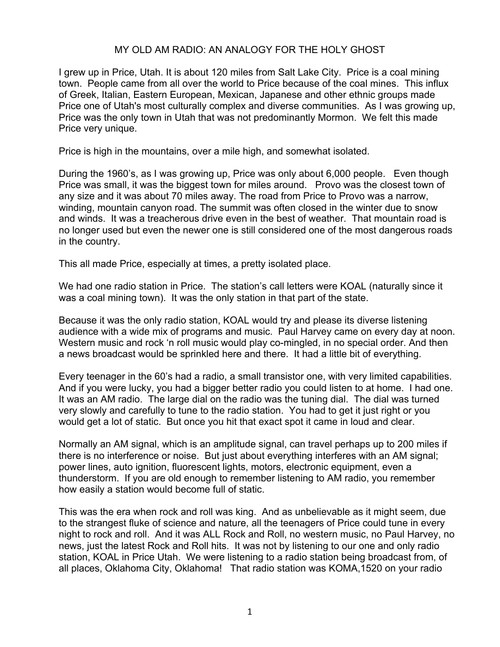## MY OLD AM RADIO: AN ANALOGY FOR THE HOLY GHOST

I grew up in Price, Utah. It is about 120 miles from Salt Lake City. Price is a coal mining town. People came from all over the world to Price because of the coal mines. This influx of Greek, Italian, Eastern European, Mexican, Japanese and other ethnic groups made Price one of Utah's most culturally complex and diverse communities. As I was growing up, Price was the only town in Utah that was not predominantly Mormon. We felt this made Price very unique.

Price is high in the mountains, over a mile high, and somewhat isolated.

During the 1960's, as I was growing up, Price was only about 6,000 people. Even though Price was small, it was the biggest town for miles around. Provo was the closest town of any size and it was about 70 miles away. The road from Price to Provo was a narrow, winding, mountain canyon road. The summit was often closed in the winter due to snow and winds. It was a treacherous drive even in the best of weather. That mountain road is no longer used but even the newer one is still considered one of the most dangerous roads in the country.

This all made Price, especially at times, a pretty isolated place.

We had one radio station in Price. The station's call letters were KOAL (naturally since it was a coal mining town). It was the only station in that part of the state.

Because it was the only radio station, KOAL would try and please its diverse listening audience with a wide mix of programs and music. Paul Harvey came on every day at noon. Western music and rock 'n roll music would play co-mingled, in no special order. And then a news broadcast would be sprinkled here and there. It had a little bit of everything.

Every teenager in the 60's had a radio, a small transistor one, with very limited capabilities. And if you were lucky, you had a bigger better radio you could listen to at home. I had one. It was an AM radio. The large dial on the radio was the tuning dial. The dial was turned very slowly and carefully to tune to the radio station. You had to get it just right or you would get a lot of static. But once you hit that exact spot it came in loud and clear.

Normally an AM signal, which is an amplitude signal, can travel perhaps up to 200 miles if there is no interference or noise. But just about everything interferes with an AM signal; power lines, auto ignition, fluorescent lights, motors, electronic equipment, even a thunderstorm. If you are old enough to remember listening to AM radio, you remember how easily a station would become full of static.

This was the era when rock and roll was king. And as unbelievable as it might seem, due to the strangest fluke of science and nature, all the teenagers of Price could tune in every night to rock and roll. And it was ALL Rock and Roll, no western music, no Paul Harvey, no news, just the latest Rock and Roll hits. It was not by listening to our one and only radio station, KOAL in Price Utah. We were listening to a radio station being broadcast from, of all places, Oklahoma City, Oklahoma! That radio station was KOMA,1520 on your radio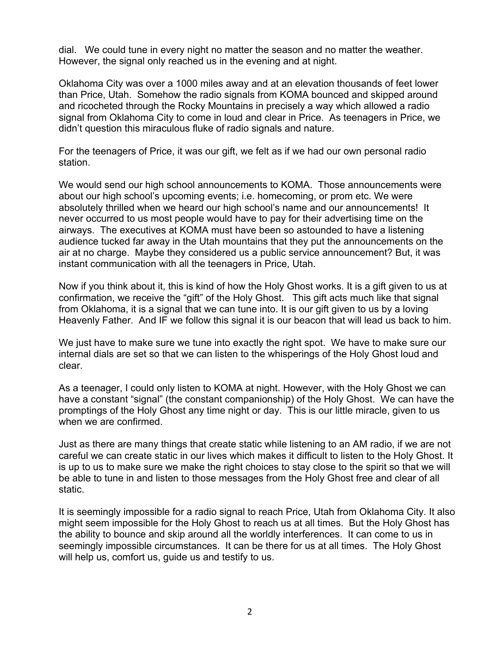dial. We could tune in every night no matter the season and no matter the weather. However, the signal only reached us in the evening and at night.

Oklahoma City was over a 1000 miles away and at an elevation thousands of feet lower than Price, Utah. Somehow the radio signals from KOMA bounced and skipped around and ricocheted through the Rocky Mountains in precisely a way which allowed a radio signal from Oklahoma City to come in loud and clear in Price. As teenagers in Price, we didn't question this miraculous fluke of radio signals and nature.

For the teenagers of Price, it was our gift, we felt as if we had our own personal radio station.

We would send our high school announcements to KOMA. Those announcements were about our high school's upcoming events; i.e. homecoming, or prom etc. We were absolutely thrilled when we heard our high school's name and our announcements! It never occurred to us most people would have to pay for their advertising time on the airways. The executives at KOMA must have been so astounded to have a listening audience tucked far away in the Utah mountains that they put the announcements on the air at no charge. Maybe they considered us a public service announcement? But, it was instant communication with all the teenagers in Price, Utah.

Now if you think about it, this is kind of how the Holy Ghost works. It is a gift given to us at confirmation, we receive the "gift" of the Holy Ghost. This gift acts much like that signal from Oklahoma, it is a signal that we can tune into. It is our gift given to us by a loving Heavenly Father. And IF we follow this signal it is our beacon that will lead us back to him.

We just have to make sure we tune into exactly the right spot. We have to make sure our internal dials are set so that we can listen to the whisperings of the Holy Ghost loud and clear.

As a teenager, I could only listen to KOMA at night. However, with the Holy Ghost we can have a constant "signal" (the constant companionship) of the Holy Ghost. We can have the promptings of the Holy Ghost any time night or day. This is our little miracle, given to us when we are confirmed.

Just as there are many things that create static while listening to an AM radio, if we are not careful we can create static in our lives which makes it difficult to listen to the Holy Ghost. It is up to us to make sure we make the right choices to stay close to the spirit so that we will be able to tune in and listen to those messages from the Holy Ghost free and clear of all static.

It is seemingly impossible for a radio signal to reach Price, Utah from Oklahoma City. It also might seem impossible for the Holy Ghost to reach us at all times. But the Holy Ghost has the ability to bounce and skip around all the worldly interferences. It can come to us in seemingly impossible circumstances. It can be there for us at all times. The Holy Ghost will help us, comfort us, guide us and testify to us.